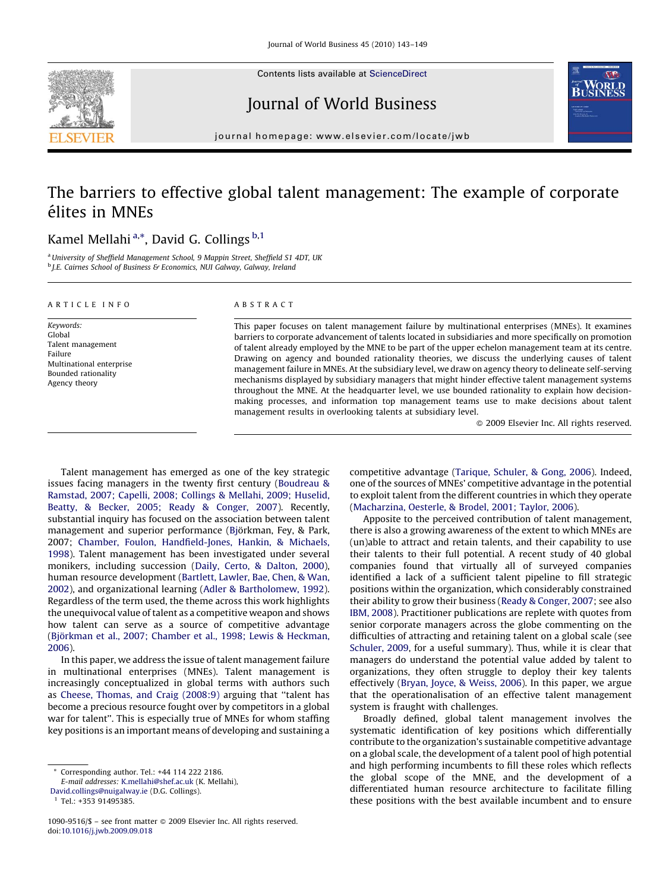

Contents lists available at [ScienceDirect](http://www.sciencedirect.com/science/journal/10909516)

Journal of World Business



journal homepage: www.el sevier.com/locate/jwb

## The barriers to effective global talent management: The example of corporate élites in MNEs

### Kamel Mellahi<sup>a,\*</sup>, David G. Collings <sup>b,1</sup>

<sup>a</sup>University of Sheffield Management School, 9 Mappin Street, Sheffield S1 4DT, UK <sup>b</sup> J.E. Cairnes School of Business & Economics, NUI Galway, Galway, Ireland

#### ARTICLE INFO

Keywords: Global Talent management Failure Multinational enterprise Bounded rationality Agency theory

#### ABSTRACT

This paper focuses on talent management failure by multinational enterprises (MNEs). It examines barriers to corporate advancement of talents located in subsidiaries and more specifically on promotion of talent already employed by the MNE to be part of the upper echelon management team at its centre. Drawing on agency and bounded rationality theories, we discuss the underlying causes of talent management failure in MNEs. At the subsidiary level, we draw on agency theory to delineate self-serving mechanisms displayed by subsidiary managers that might hinder effective talent management systems throughout the MNE. At the headquarter level, we use bounded rationality to explain how decisionmaking processes, and information top management teams use to make decisions about talent management results in overlooking talents at subsidiary level.

 $\odot$  2009 Elsevier Inc. All rights reserved.

Talent management has emerged as one of the key strategic issues facing managers in the twenty first century ([Boudreau &](#page--1-0) [Ramstad, 2007; Capelli, 2008; Collings & Mellahi, 2009; Huselid,](#page--1-0) [Beatty, & Becker, 2005; Ready & Conger, 2007](#page--1-0)). Recently, substantial inquiry has focused on the association between talent management and superior performance [\(Bj](#page--1-0)örkman, Fey, & Park, 2007; [Chamber, Foulon, Handfield-Jones, Hankin, & Michaels,](#page--1-0) [1998\)](#page--1-0). Talent management has been investigated under several monikers, including succession ([Daily, Certo, & Dalton, 2000\)](#page--1-0), human resource development [\(Bartlett, Lawler, Bae, Chen, & Wan,](#page--1-0) [2002\)](#page--1-0), and organizational learning [\(Adler & Bartholomew, 1992\)](#page--1-0). Regardless of the term used, the theme across this work highlights the unequivocal value of talent as a competitive weapon and shows how talent can serve as a source of competitive advantage (Bjö[rkman et al., 2007; Chamber et al., 1998; Lewis & Heckman,](#page--1-0) [2006\)](#page--1-0).

In this paper, we address the issue of talent management failure in multinational enterprises (MNEs). Talent management is increasingly conceptualized in global terms with authors such as [Cheese, Thomas, and Craig \(2008:9\)](#page--1-0) arguing that ''talent has become a precious resource fought over by competitors in a global war for talent''. This is especially true of MNEs for whom staffing key positions is an important means of developing and sustaining a competitive advantage ([Tarique, Schuler, & Gong, 2006](#page--1-0)). Indeed, one of the sources of MNEs' competitive advantage in the potential to exploit talent from the different countries in which they operate ([Macharzina, Oesterle, & Brodel, 2001; Taylor, 2006\)](#page--1-0).

Apposite to the perceived contribution of talent management, there is also a growing awareness of the extent to which MNEs are (un)able to attract and retain talents, and their capability to use their talents to their full potential. A recent study of 40 global companies found that virtually all of surveyed companies identified a lack of a sufficient talent pipeline to fill strategic positions within the organization, which considerably constrained their ability to grow their business [\(Ready & Conger, 2007;](#page--1-0) see also [IBM, 2008](#page--1-0)). Practitioner publications are replete with quotes from senior corporate managers across the globe commenting on the difficulties of attracting and retaining talent on a global scale (see [Schuler, 2009,](#page--1-0) for a useful summary). Thus, while it is clear that managers do understand the potential value added by talent to organizations, they often struggle to deploy their key talents effectively [\(Bryan, Joyce, & Weiss, 2006\)](#page--1-0). In this paper, we argue that the operationalisation of an effective talent management system is fraught with challenges.

Broadly defined, global talent management involves the systematic identification of key positions which differentially contribute to the organization's sustainable competitive advantage on a global scale, the development of a talent pool of high potential and high performing incumbents to fill these roles which reflects the global scope of the MNE, and the development of a differentiated human resource architecture to facilitate filling these positions with the best available incumbent and to ensure

Corresponding author. Tel.: +44 114 222 2186.

E-mail addresses: [K.mellahi@shef.ac.uk](mailto:K.mellahi@shef.ac.uk) (K. Mellahi),

[David.collings@nuigalway.ie](mailto:David.collings@nuigalway.ie) (D.G. Collings).

Tel.: +353 91495385.

<sup>1090-9516/\$ -</sup> see front matter @ 2009 Elsevier Inc. All rights reserved. doi:[10.1016/j.jwb.2009.09.018](http://dx.doi.org/10.1016/j.jwb.2009.09.018)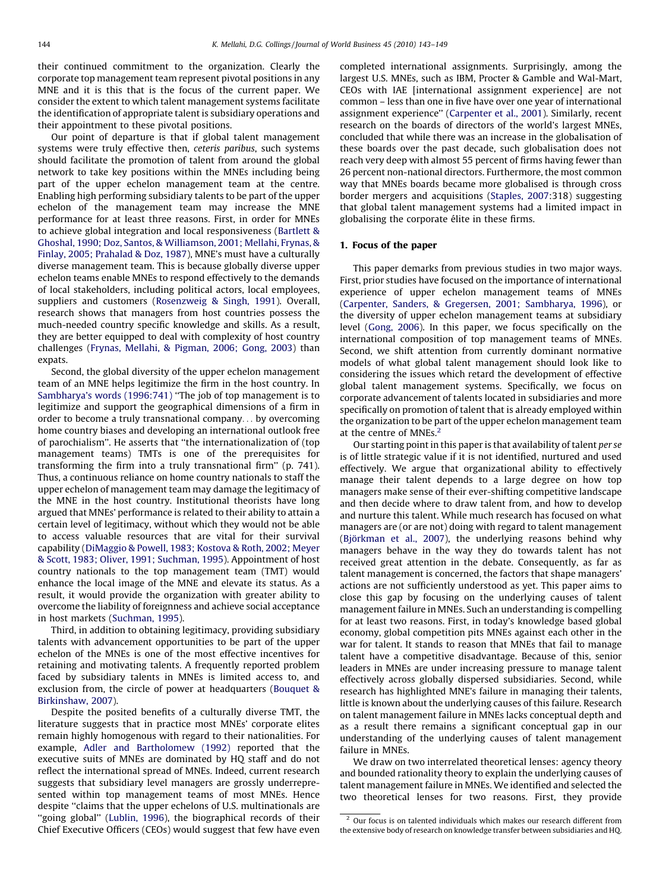their continued commitment to the organization. Clearly the corporate top management team represent pivotal positions in any MNE and it is this that is the focus of the current paper. We consider the extent to which talent management systems facilitate the identification of appropriate talent is subsidiary operations and their appointment to these pivotal positions.

Our point of departure is that if global talent management systems were truly effective then, ceteris paribus, such systems should facilitate the promotion of talent from around the global network to take key positions within the MNEs including being part of the upper echelon management team at the centre. Enabling high performing subsidiary talents to be part of the upper echelon of the management team may increase the MNE performance for at least three reasons. First, in order for MNEs to achieve global integration and local responsiveness ([Bartlett &](#page--1-0) [Ghoshal, 1990; Doz, Santos, & Williamson, 2001; Mellahi, Frynas, &](#page--1-0) [Finlay, 2005; Prahalad & Doz, 1987](#page--1-0)), MNE's must have a culturally diverse management team. This is because globally diverse upper echelon teams enable MNEs to respond effectively to the demands of local stakeholders, including political actors, local employees, suppliers and customers ([Rosenzweig & Singh, 1991\)](#page--1-0). Overall, research shows that managers from host countries possess the much-needed country specific knowledge and skills. As a result, they are better equipped to deal with complexity of host country challenges ([Frynas, Mellahi, & Pigman, 2006; Gong, 2003\)](#page--1-0) than expats.

Second, the global diversity of the upper echelon management team of an MNE helps legitimize the firm in the host country. In [Sambharya's words \(1996:741\)](#page--1-0) ''The job of top management is to legitimize and support the geographical dimensions of a firm in order to become a truly transnational company... by overcoming home country biases and developing an international outlook free of parochialism''. He asserts that ''the internationalization of (top management teams) TMTs is one of the prerequisites for transforming the firm into a truly transnational firm'' (p. 741). Thus, a continuous reliance on home country nationals to staff the upper echelon of management team may damage the legitimacy of the MNE in the host country. Institutional theorists have long argued that MNEs' performance is related to their ability to attain a certain level of legitimacy, without which they would not be able to access valuable resources that are vital for their survival capability [\(DiMaggio & Powell, 1983; Kostova & Roth, 2002; Meyer](#page--1-0) [& Scott, 1983; Oliver, 1991; Suchman, 1995\)](#page--1-0). Appointment of host country nationals to the top management team (TMT) would enhance the local image of the MNE and elevate its status. As a result, it would provide the organization with greater ability to overcome the liability of foreignness and achieve social acceptance in host markets [\(Suchman, 1995](#page--1-0)).

Third, in addition to obtaining legitimacy, providing subsidiary talents with advancement opportunities to be part of the upper echelon of the MNEs is one of the most effective incentives for retaining and motivating talents. A frequently reported problem faced by subsidiary talents in MNEs is limited access to, and exclusion from, the circle of power at headquarters ([Bouquet &](#page--1-0) [Birkinshaw, 2007\)](#page--1-0).

Despite the posited benefits of a culturally diverse TMT, the literature suggests that in practice most MNEs' corporate elites remain highly homogenous with regard to their nationalities. For example, [Adler and Bartholomew \(1992\)](#page--1-0) reported that the executive suits of MNEs are dominated by HQ staff and do not reflect the international spread of MNEs. Indeed, current research suggests that subsidiary level managers are grossly underrepresented within top management teams of most MNEs. Hence despite ''claims that the upper echelons of U.S. multinationals are ''going global'' ([Lublin, 1996](#page--1-0)), the biographical records of their Chief Executive Officers (CEOs) would suggest that few have even completed international assignments. Surprisingly, among the largest U.S. MNEs, such as IBM, Procter & Gamble and Wal-Mart, CEOs with IAE [international assignment experience] are not common – less than one in five have over one year of international assignment experience'' [\(Carpenter et al., 2001](#page--1-0)). Similarly, recent research on the boards of directors of the world's largest MNEs, concluded that while there was an increase in the globalisation of these boards over the past decade, such globalisation does not reach very deep with almost 55 percent of firms having fewer than 26 percent non-national directors. Furthermore, the most common way that MNEs boards became more globalised is through cross border mergers and acquisitions [\(Staples, 2007:](#page--1-0)318) suggesting that global talent management systems had a limited impact in globalising the corporate élite in these firms.

#### 1. Focus of the paper

This paper demarks from previous studies in two major ways. First, prior studies have focused on the importance of international experience of upper echelon management teams of MNEs ([Carpenter, Sanders, & Gregersen, 2001; Sambharya, 1996](#page--1-0)), or the diversity of upper echelon management teams at subsidiary level [\(Gong, 2006](#page--1-0)). In this paper, we focus specifically on the international composition of top management teams of MNEs. Second, we shift attention from currently dominant normative models of what global talent management should look like to considering the issues which retard the development of effective global talent management systems. Specifically, we focus on corporate advancement of talents located in subsidiaries and more specifically on promotion of talent that is already employed within the organization to be part of the upper echelon management team at the centre of MNEs.<sup>2</sup>

Our starting point in this paper is that availability of talent per se is of little strategic value if it is not identified, nurtured and used effectively. We argue that organizational ability to effectively manage their talent depends to a large degree on how top managers make sense of their ever-shifting competitive landscape and then decide where to draw talent from, and how to develop and nurture this talent. While much research has focused on what managers are (or are not) doing with regard to talent management (Bjö[rkman et al., 2007](#page--1-0)), the underlying reasons behind why managers behave in the way they do towards talent has not received great attention in the debate. Consequently, as far as talent management is concerned, the factors that shape managers' actions are not sufficiently understood as yet. This paper aims to close this gap by focusing on the underlying causes of talent management failure in MNEs. Such an understanding is compelling for at least two reasons. First, in today's knowledge based global economy, global competition pits MNEs against each other in the war for talent. It stands to reason that MNEs that fail to manage talent have a competitive disadvantage. Because of this, senior leaders in MNEs are under increasing pressure to manage talent effectively across globally dispersed subsidiaries. Second, while research has highlighted MNE's failure in managing their talents, little is known about the underlying causes of this failure. Research on talent management failure in MNEs lacks conceptual depth and as a result there remains a significant conceptual gap in our understanding of the underlying causes of talent management failure in MNEs.

We draw on two interrelated theoretical lenses: agency theory and bounded rationality theory to explain the underlying causes of talent management failure in MNEs. We identified and selected the two theoretical lenses for two reasons. First, they provide

<sup>&</sup>lt;sup>2</sup> Our focus is on talented individuals which makes our research different from the extensive body of research on knowledge transfer between subsidiaries and HQ.